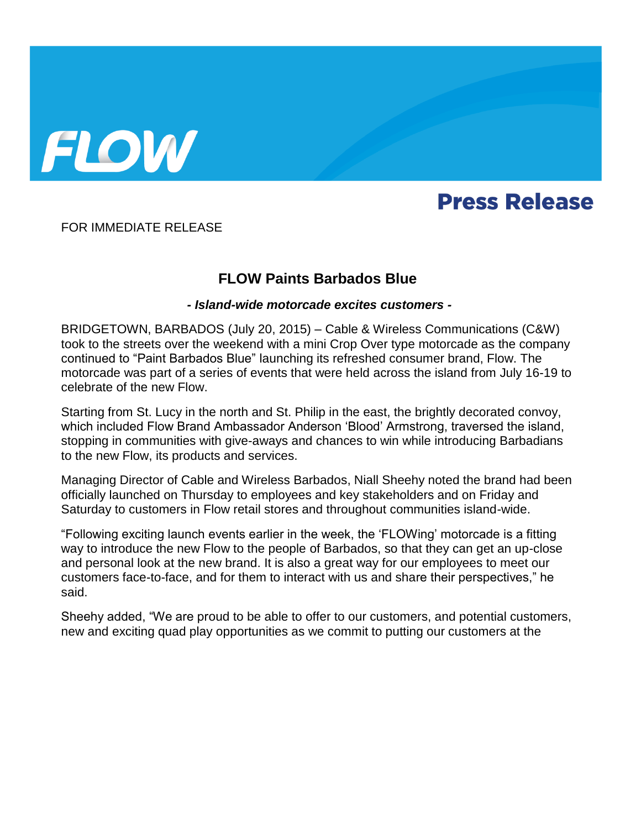

## **Press Release**

FOR IMMEDIATE RELEASE

## **FLOW Paints Barbados Blue**

## *- Island-wide motorcade excites customers -*

BRIDGETOWN, BARBADOS (July 20, 2015) – Cable & Wireless Communications (C&W) took to the streets over the weekend with a mini Crop Over type motorcade as the company continued to "Paint Barbados Blue" launching its refreshed consumer brand, Flow. The motorcade was part of a series of events that were held across the island from July 16-19 to celebrate of the new Flow.

Starting from St. Lucy in the north and St. Philip in the east, the brightly decorated convoy, which included Flow Brand Ambassador Anderson 'Blood' Armstrong, traversed the island, stopping in communities with give-aways and chances to win while introducing Barbadians to the new Flow, its products and services.

Managing Director of Cable and Wireless Barbados, Niall Sheehy noted the brand had been officially launched on Thursday to employees and key stakeholders and on Friday and Saturday to customers in Flow retail stores and throughout communities island-wide.

"Following exciting launch events earlier in the week, the 'FLOWing' motorcade is a fitting way to introduce the new Flow to the people of Barbados, so that they can get an up-close and personal look at the new brand. It is also a great way for our employees to meet our customers face-to-face, and for them to interact with us and share their perspectives," he said.

Sheehy added, "We are proud to be able to offer to our customers, and potential customers, new and exciting quad play opportunities as we commit to putting our customers at the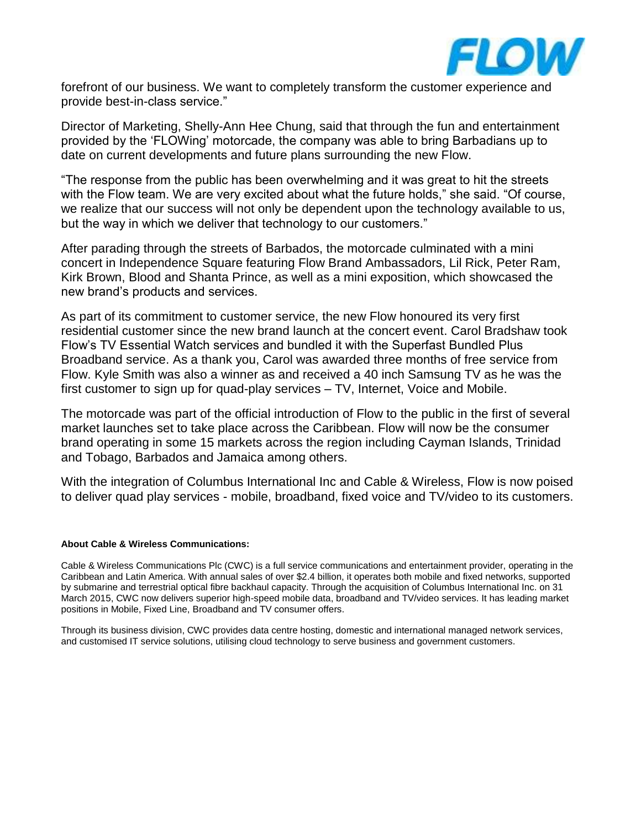

forefront of our business. We want to completely transform the customer experience and provide best-in-class service."

Director of Marketing, Shelly-Ann Hee Chung, said that through the fun and entertainment provided by the 'FLOWing' motorcade, the company was able to bring Barbadians up to date on current developments and future plans surrounding the new Flow.

"The response from the public has been overwhelming and it was great to hit the streets with the Flow team. We are very excited about what the future holds," she said. "Of course, we realize that our success will not only be dependent upon the technology available to us, but the way in which we deliver that technology to our customers."

After parading through the streets of Barbados, the motorcade culminated with a mini concert in Independence Square featuring Flow Brand Ambassadors, Lil Rick, Peter Ram, Kirk Brown, Blood and Shanta Prince, as well as a mini exposition, which showcased the new brand's products and services.

As part of its commitment to customer service, the new Flow honoured its very first residential customer since the new brand launch at the concert event. Carol Bradshaw took Flow's TV Essential Watch services and bundled it with the Superfast Bundled Plus Broadband service. As a thank you, Carol was awarded three months of free service from Flow. Kyle Smith was also a winner as and received a 40 inch Samsung TV as he was the first customer to sign up for quad-play services – TV, Internet, Voice and Mobile.

The motorcade was part of the official introduction of Flow to the public in the first of several market launches set to take place across the Caribbean. Flow will now be the consumer brand operating in some 15 markets across the region including Cayman Islands, Trinidad and Tobago, Barbados and Jamaica among others.

With the integration of Columbus International Inc and Cable & Wireless, Flow is now poised to deliver quad play services - mobile, broadband, fixed voice and TV/video to its customers.

## **About Cable & Wireless Communications:**

Cable & Wireless Communications Plc (CWC) is a full service communications and entertainment provider, operating in the Caribbean and Latin America. With annual sales of over \$2.4 billion, it operates both mobile and fixed networks, supported by submarine and terrestrial optical fibre backhaul capacity. Through the acquisition of Columbus International Inc. on 31 March 2015, CWC now delivers superior high-speed mobile data, broadband and TV/video services. It has leading market positions in Mobile, Fixed Line, Broadband and TV consumer offers.

Through its business division, CWC provides data centre hosting, domestic and international managed network services, and customised IT service solutions, utilising cloud technology to serve business and government customers.